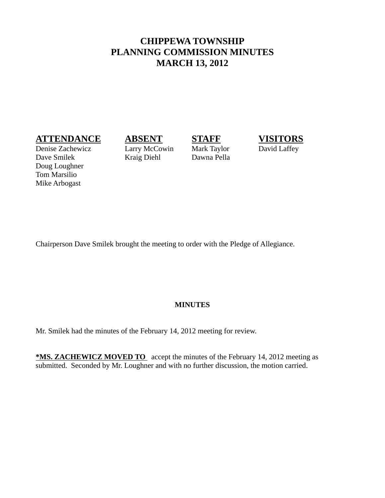# **CHIPPEWA TOWNSHIP PLANNING COMMISSION MINUTES MARCH 13, 2012**

## **ATTENDANCE ABSENT STAFF VISITORS**

Denise Zachewicz Larry McCowin Mark Taylor David Laffey Dave Smilek Kraig Diehl Dawna Pella Doug Loughner Tom Marsilio Mike Arbogast



Chairperson Dave Smilek brought the meeting to order with the Pledge of Allegiance.

### **MINUTES**

Mr. Smilek had the minutes of the February 14, 2012 meeting for review.

**\*MS. ZACHEWICZ MOVED TO** accept the minutes of the February 14, 2012 meeting as submitted. Seconded by Mr. Loughner and with no further discussion, the motion carried.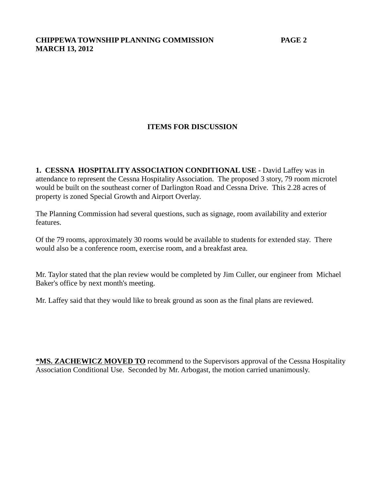## **ITEMS FOR DISCUSSION**

**1. CESSNA HOSPITALITY ASSOCIATION CONDITIONAL USE -** David Laffey was in attendance to represent the Cessna Hospitality Association. The proposed 3 story, 79 room microtel would be built on the southeast corner of Darlington Road and Cessna Drive. This 2.28 acres of property is zoned Special Growth and Airport Overlay.

The Planning Commission had several questions, such as signage, room availability and exterior features.

Of the 79 rooms, approximately 30 rooms would be available to students for extended stay. There would also be a conference room, exercise room, and a breakfast area.

Mr. Taylor stated that the plan review would be completed by Jim Culler, our engineer from Michael Baker's office by next month's meeting.

Mr. Laffey said that they would like to break ground as soon as the final plans are reviewed.

**\*MS. ZACHEWICZ MOVED TO** recommend to the Supervisors approval of the Cessna Hospitality Association Conditional Use. Seconded by Mr. Arbogast, the motion carried unanimously.